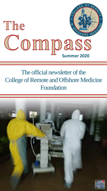

## The official newsletter of the College of Remote and Offshore Medicine Foundation

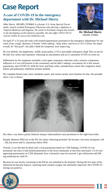## **Case Report**

## **A case of COVID-19 in the emergency department with Dr. Michael Shertz**

*Mike Shertz, 18D/MD, DTM&H is a former U.S. Army Special Forces medic, board certified Emergency Physician who also has a diploma in Tropical Medicine and Hygiene. He works in Portland, Oregon but travels in the developing world whenever possible. He also offers TECC/TCCC courses online at www.crisis-medicine.com.*



**Dr. Michael Shertz** 18D/MD, DTM&H

**11**

On April 5<sup>th</sup> a 55-year-old male with treated hypertension presented to the emergency department for one week of dry cough, shortness of breath "while talking", body aches, and fever to 38.5 Celsius. He stated overall, he "felt good", but didn't think his symptoms were improving.

He was afebrile, but diaphoretic, mildly tachycardiac (110's) and mildly tachypneic (high 20s) on arrival. He had very minor end expiratory wheezing on auscultation and an  $O_2$  saturation of 92% on room air.

Differential for his symptoms included a viral upper respiratory infection with a reactive component, influenza as it was still present in the community and he didn't undergo vaccination for it this season, pneumonia, and COVID-19. With his fever and body aches, noninfectious causes like congestive heart failure and pulmonary embolism seemed unlikely.

His complete blood count, basic metabolic panel, and venous lactate were baseline for him. His portable chest x-ray is shown.



His chest x ray shows patchy bilateral airspace abnormalities most prominent in the right lower lobe.

Despite albuterol MDI use in the ED, his minor wheezing persisted. He became a bit more tachypneic (28  $-30$ , but never had  $O_2$  saturations below 90%.

Overall, it was felt that he likely had a viral pneumonia based on CXR findings. COVID-19 was presumed, but since it had limited penetration in the local community at that time and nearly 1/3 of viral appearing pneumonias on CXR ultimately have a bacterial cause he received 1 gm ceftriaxone and 500 mg azithromycin, both IV.

Because he was slowly worsening in the ED he was admitted to the hospital. During the five days of his admission he became hypoxic requiring nasal cannula oxygen, but ultimately improved. His COVID-19 testing was positive.